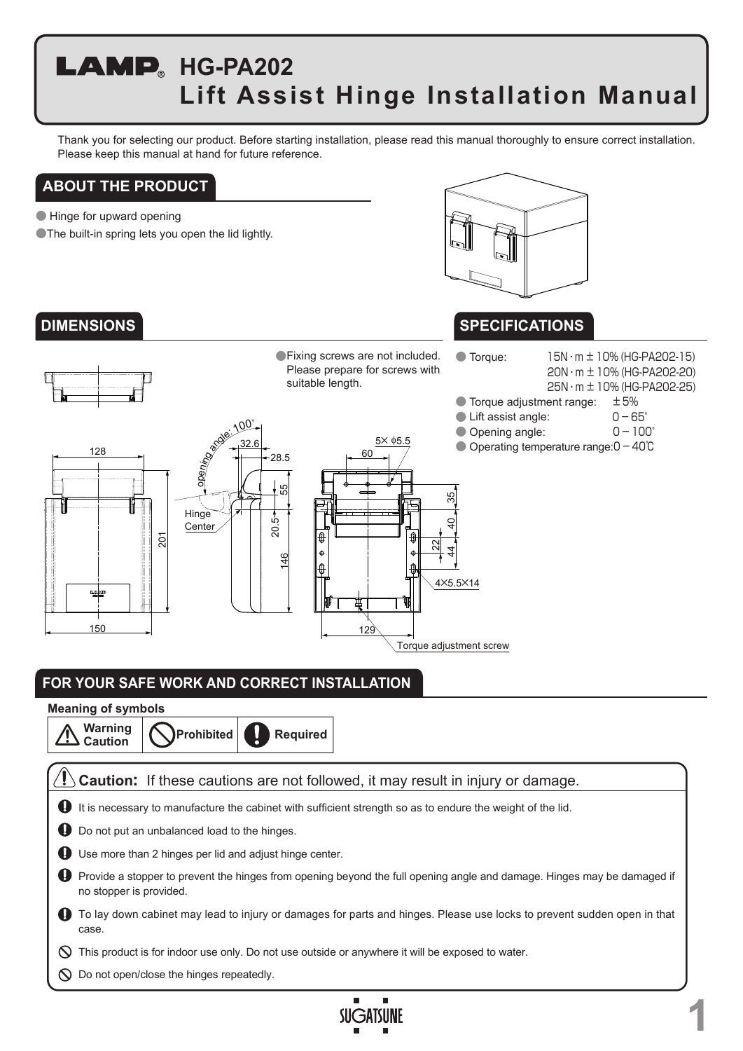# **LAMP** HG-PA202 **Lift Assist Hinge Installation Manual**

Thank you for selecting our product. Before starting installation, please read this manual thoroughly to ensure correct installation. Please keep this manual at hand for future reference.

### **ABOUT THE PRODUCT**

● Hinge for upward opening

**The built-in spring lets you open the lid lightly.** 



### **SPECIFICATIONS**

20N・m ±10% (HG-PA202-20) 25N・m ±10% (HG-PA202-25)

**DIMENSIONS**



## **FOR YOUR SAFE WORK AND CORRECT INSTALLATION**

### **Meaning of symbols**

**Prohibited Warning Caution Required**